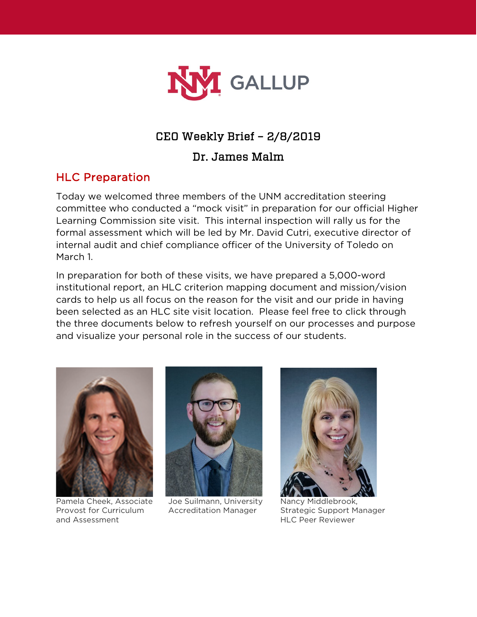

## CEO Weekly Brief – 2/8/2019

### Dr. James Malm

## HLC Preparation

Today we welcomed three members of the UNM accreditation steering committee who conducted a "mock visit" in preparation for our official Higher Learning Commission site visit. This internal inspection will rally us for the formal assessment which will be led by Mr. David Cutri, executive director of internal audit and chief compliance officer of the University of Toledo on March 1.

In preparation for both of these visits, we have prepared a 5,000-word institutional report, an HLC criterion mapping document and mission/vision cards to help us all focus on the reason for the visit and our pride in having been selected as an HLC site visit location. Please feel free to click through the three documents below to refresh yourself on our processes and purpose and visualize your personal role in the success of our students.



and Assessment HLC Peer Reviewer



Pamela Cheek, Associate Joe Suilmann, University Nancy Middlebrook,



Provost for Curriculum Accreditation Manager Strategic Support Manager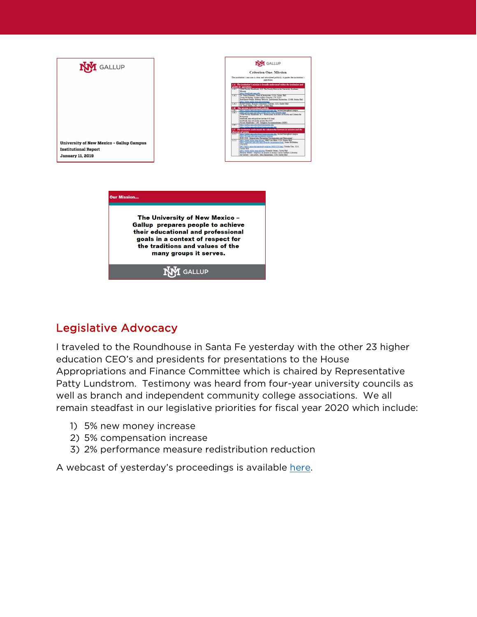

## Legislative Advocacy

I traveled to the Roundhouse in Santa Fe yesterday with the other 23 higher education CEO's and presidents for presentations to the House Appropriations and Finance Committee which is chaired by Representative Patty Lundstrom. Testimony was heard from four-year university councils as well as branch and independent community college associations. We all remain steadfast in our legislative priorities for fiscal year 2020 which include:

- 1) 5% new money increase
- 2) 5% compensation increase
- 3) 2% performance measure redistribution reduction

A webcast of yesterday's proceedings is available [here.](http://sg001-harmony.sliq.net/00293/Harmony/en/PowerBrowser/PowerBrowserV2/20190208/-1/62044)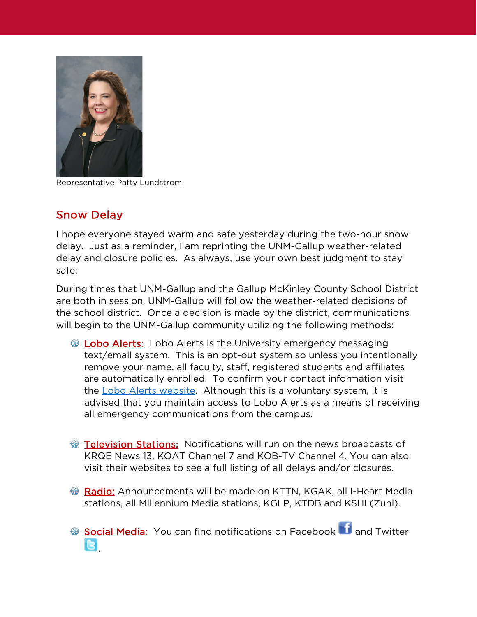

Representative Patty Lundstrom

## Snow Delay

I hope everyone stayed warm and safe yesterday during the two-hour snow delay. Just as a reminder, I am reprinting the UNM-Gallup weather-related delay and closure policies. As always, use your own best judgment to stay safe:

During times that UNM-Gallup and the Gallup McKinley County School District are both in session, UNM-Gallup will follow the weather-related decisions of the school district. Once a decision is made by the district, communications will begin to the UNM-Gallup community utilizing the following methods:

- **Exagge Alerts:** Lobo Alerts is the University emergency messaging text/email system. This is an opt-out system so unless you intentionally remove your name, all faculty, staff, registered students and affiliates are automatically enrolled. To confirm your contact information visit the [Lobo Alerts website.](https://loboalerts.unm.edu/) Although this is a voluntary system, it is advised that you maintain access to Lobo Alerts as a means of receiving all emergency communications from the campus.
- Television Stations: Notifications will run on the news broadcasts of KRQE News 13, KOAT Channel 7 and KOB-TV Channel 4. You can also visit their websites to see a full listing of all delays and/or closures.
- Radio: Announcements will be made on KTTN, KGAK, all I-Heart Media stations, all Millennium Media stations, KGLP, KTDB and KSHI (Zuni).
- SocialMedia: You can find notifications on Facebook and Twitter .